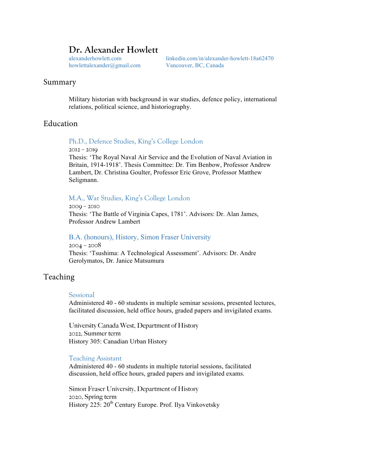# **Dr. Alexander Howlett**

howlettalexander@gmail.com Vancouver, BC, Canada

alexanderhowlett.com linkedin.com/in/alexander-howlett-18a62470

## Summary

Military historian with background in war studies, defence policy, international relations, political science, and historiography.

## Education

Ph.D., Defence Studies, King's College London

2012 – 2019

Thesis: 'The Royal Naval Air Service and the Evolution of Naval Aviation in Britain, 1914-1918'. Thesis Committee: Dr. Tim Benbow, Professor Andrew Lambert, Dr. Christina Goulter, Professor Eric Grove, Professor Matthew Seligmann.

### M.A., War Studies, King's College London

2009 – 2010 Thesis: 'The Battle of Virginia Capes, 1781'. Advisors: Dr. Alan James, Professor Andrew Lambert

### B.A. (honours), History, Simon Fraser University

2004 – 2008 Thesis: 'Tsushima: A Technological Assessment'. Advisors: Dr. Andre Gerolymatos, Dr. Janice Matsumura

## Teaching

#### Sessional

Administered 40 - 60 students in multiple seminar sessions, presented lectures, facilitated discussion, held office hours, graded papers and invigilated exams.

University Canada West, Department of History 2022, Summer term History 305: Canadian Urban History

### Teaching Assistant

Administered 40 - 60 students in multiple tutorial sessions, facilitated discussion, held office hours, graded papers and invigilated exams.

Simon Fraser University, Department of History 2020, Spring term History 225: 20<sup>th</sup> Century Europe. Prof. Ilya Vinkovetsky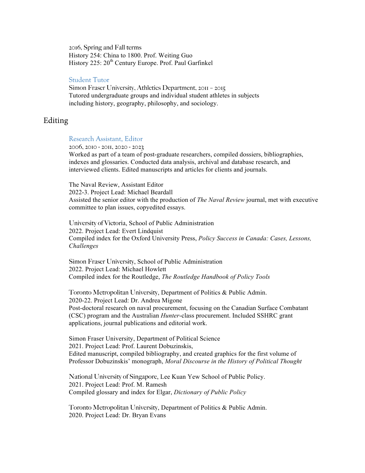2016, Spring and Fall terms History 254: China to 1800. Prof. Weiting Guo History 225: 20<sup>th</sup> Century Europe. Prof. Paul Garfinkel

### Student Tutor

Simon Fraser University, Athletics Department, 2011 – 2015 Tutored undergraduate groups and individual student athletes in subjects including history, geography, philosophy, and sociology.

# Editing

## Research Assistant, Editor

2006, 2010 - 2011, 2020 - 2023

Worked as part of a team of post-graduate researchers, compiled dossiers, bibliographies, indexes and glossaries. Conducted data analysis, archival and database research, and interviewed clients. Edited manuscripts and articles for clients and journals.

The Naval Review, Assistant Editor 2022-3. Project Lead: Michael Beardall Assisted the senior editor with the production of *The Naval Review* journal, met with executive committee to plan issues, copyedited essays.

University of Victoria, School of Public Administration 2022. Project Lead: Evert Lindquist Compiled index for the Oxford University Press, *Policy Success in Canada: Cases, Lessons, Challenges*

Simon Fraser University, School of Public Administration 2022. Project Lead: Michael Howlett Compiled index for the Routledge, *The Routledge Handbook of Policy Tools*

Toronto Metropolitan University, Department of Politics & Public Admin. 2020-22. Project Lead: Dr. Andrea Migone Post-doctoral research on naval procurement, focusing on the Canadian Surface Combatant (CSC) program and the Australian *Hunter*-class procurement. Included SSHRC grant applications, journal publications and editorial work.

Simon Fraser University, Department of Political Science 2021. Project Lead: Prof. Laurent Dobuzinskis, Edited manuscript, compiled bibliography, and created graphics for the first volume of Professor Dobuzinskis' monograph, *Moral Discourse in the History of Political Thought*

National University of Singapore, Lee Kuan Yew School of Public Policy. 2021. Project Lead: Prof. M. Ramesh Compiled glossary and index for Elgar, *Dictionary of Public Policy*

Toronto Metropolitan University, Department of Politics & Public Admin. 2020. Project Lead: Dr. Bryan Evans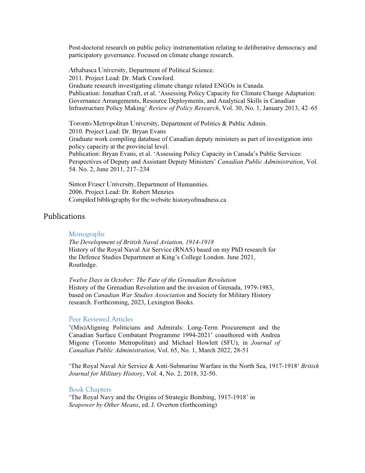Post-doctoral research on public policy instrumentation relating to deliberative democracy and participatory governance. Focused on climate change research.

Athabasca University, Department of Political Science. 2011. Project Lead: Dr. Mark Crawford. Graduate research investigating climate change related ENGOs in Canada. Publication: Jonathan Craft, et al. 'Assessing Policy Capacity for Climate Change Adaptation: Governance Arrangements, Resource Deployments, and Analytical Skills in Canadian Infrastructure Policy Making' *Review of Policy Research*, Vol. 30, No. 1, January 2013, 42–65

Toronto Metropolitan University, Department of Politics & Public Admin. 2010. Project Lead: Dr. Bryan Evans Graduate work compiling database of Canadian deputy ministers as part of investigation into policy capacity at the provincial level. Publication: Bryan Evans, et al. 'Assessing Policy Capacity in Canada's Public Services: Perspectives of Deputy and Assistant Deputy Ministers' *Canadian Public Administration*, Vol. 54. No. 2, June 2011, 217–234

Simon Fraser University, Department of Humanities. 2006. Project Lead: Dr. Robert Menzies Compiled bibliography for the website historyofmadness.ca

## Publications

#### Monographs

*The Development of British Naval Aviation, 1914-1918* History of the Royal Naval Air Service (RNAS) based on my PhD research for the Defence Studies Department at King's College London. June 2021, Routledge.

*Twelve Days in October: The Fate of the Grenadian Revolution* History of the Grenadian Revolution and the invasion of Grenada, 1979-1983, based on *Canadian War Studies Association* and Society for Military History research. Forthcoming, 2023, Lexington Books.

### Peer Reviewed Articles

'(Mis)Aligning Politicians and Admirals: Long-Term Procurement and the Canadian Surface Combatant Programme 1994-2021' coauthored with Andrea Migone (Toronto Metropolitan) and Michael Howlett (SFU), in *Journal of Canadian Public Administration*, Vol. 65, No. 1, March 2022, 28-51

'The Royal Naval Air Service & Anti-Submarine Warfare in the North Sea, 1917-1918' *British Journal for Military History*, Vol. 4, No. 2, 2018, 32-50.

#### Book Chapters

'The Royal Navy and the Origins of Strategic Bombing, 1917-1918' in *Seapower by Other Means*, ed. J. Overton (forthcoming)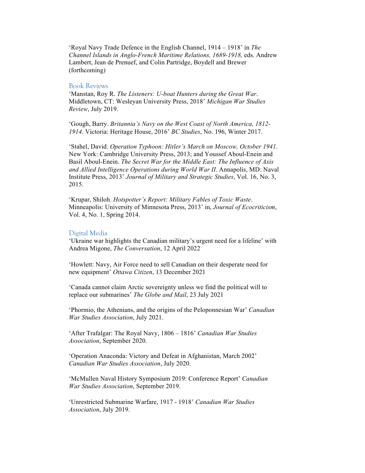'Royal Navy Trade Defence in the English Channel, 1914 – 1918' in *The Channel Islands in Anglo-French Maritime Relations, 1689-1918,* eds. Andrew Lambert, Jean de Prenuef, and Colin Partridge, Boydell and Brewer (forthcoming)

#### Book Reviews

'Manstan, Roy R. *The Listeners: U-boat Hunters during the Great War*. Middletown, CT: Wesleyan University Press, 2018' *Michigan War Studies Review*, July 2019.

'Gough, Barry. *Britannia's Navy on the West Coast of North America, 1812- 1914*. Victoria: Heritage House, 2016' *BC Studies*, No. 196, Winter 2017.

'Stahel, David. *Operation Typhoon: Hitler's March on Moscow, October 1941*. New York: Cambridge University Press, 2013; and Youssef Aboul-Enein and Basil Aboul-Enein. *The Secret War for the Middle East: The Influence of Axis and Allied Intelligence Operations during World War II*. Annapolis, MD: Naval Institute Press, 2013' *Journal of Military and Strategic Studies*, Vol. 16, No. 3, 2015.

'Krupar, Shiloh. *Hotspotter's Report: Military Fables of Toxic Waste*. Minneapolis: University of Minnesota Press, 2013' in, *Journal of Ecocriticism*, Vol. 4, No. 1, Spring 2014.

### Digital Media

'Ukraine war highlights the Canadian military's urgent need for a lifeline' with Andrea Migone, *The Conversation*, 12 April 2022

'Howlett: Navy, Air Force need to sell Canadian on their desperate need for new equipment' *Ottawa Citizen*, 13 December 2021

'Canada cannot claim Arctic sovereignty unless we find the political will to replace our submarines' *The Globe and Mail*, 23 July 2021

'Phormio, the Athenians, and the origins of the Peloponnesian War' *Canadian War Studies Association*, July 2021.

'After Trafalgar: The Royal Navy, 1806 – 1816' *Canadian War Studies Association*, September 2020.

'Operation Anaconda: Victory and Defeat in Afghanistan, March 2002' *Canadian War Studies Association*, July 2020.

'McMullen Naval History Symposium 2019: Conference Report' *Canadian War Studies Association*, September 2019.

'Unrestricted Submarine Warfare, 1917 - 1918' *Canadian War Studies Association*, July 2019.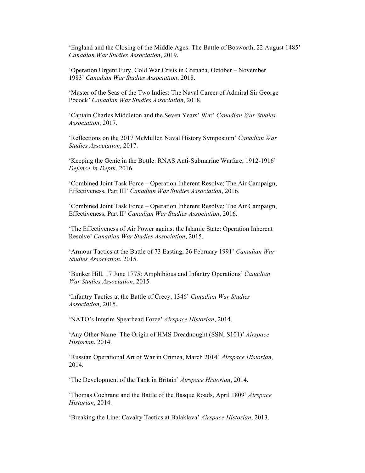'England and the Closing of the Middle Ages: The Battle of Bosworth, 22 August 1485' *Canadian War Studies Association*, 2019.

'Operation Urgent Fury, Cold War Crisis in Grenada, October – November 1983' *Canadian War Studies Association*, 2018.

'Master of the Seas of the Two Indies: The Naval Career of Admiral Sir George Pocock' *Canadian War Studies Association*, 2018.

'Captain Charles Middleton and the Seven Years' War' *Canadian War Studies Association*, 2017.

'Reflections on the 2017 McMullen Naval History Symposium' *Canadian War Studies Association*, 2017.

'Keeping the Genie in the Bottle: RNAS Anti-Submarine Warfare, 1912-1916' *Defence-in-Depth*, 2016.

'Combined Joint Task Force – Operation Inherent Resolve: The Air Campaign, Effectiveness, Part III' *Canadian War Studies Association*, 2016.

'Combined Joint Task Force – Operation Inherent Resolve: The Air Campaign, Effectiveness, Part II' *Canadian War Studies Association*, 2016.

'The Effectiveness of Air Power against the Islamic State: Operation Inherent Resolve' *Canadian War Studies Association*, 2015.

'Armour Tactics at the Battle of 73 Easting, 26 February 1991' *Canadian War Studies Association*, 2015.

'Bunker Hill, 17 June 1775: Amphibious and Infantry Operations' *Canadian War Studies Association*, 2015.

'Infantry Tactics at the Battle of Crecy, 1346' *Canadian War Studies Association*, 2015.

'NATO's Interim Spearhead Force' *Airspace Historian*, 2014.

'Any Other Name: The Origin of HMS Dreadnought (SSN, S101)' *Airspace Historian*, 2014.

'Russian Operational Art of War in Crimea, March 2014' *Airspace Historian*, 2014.

'The Development of the Tank in Britain' *Airspace Historian*, 2014.

'Thomas Cochrane and the Battle of the Basque Roads, April 1809' *Airspace Historian*, 2014.

'Breaking the Line: Cavalry Tactics at Balaklava' *Airspace Historian*, 2013.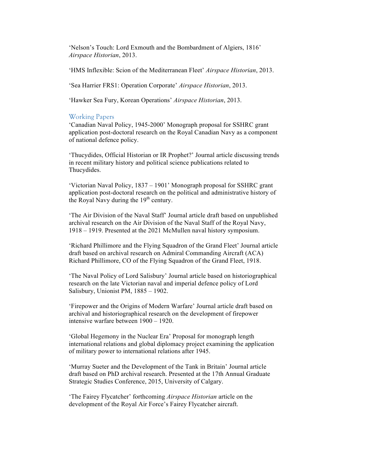'Nelson's Touch: Lord Exmouth and the Bombardment of Algiers, 1816' *Airspace Historian*, 2013.

'HMS Inflexible: Scion of the Mediterranean Fleet' *Airspace Historian*, 2013.

'Sea Harrier FRS1: Operation Corporate' *Airspace Historian*, 2013.

'Hawker Sea Fury, Korean Operations' *Airspace Historian*, 2013.

#### Working Papers

'Canadian Naval Policy, 1945-2000' Monograph proposal for SSHRC grant application post-doctoral research on the Royal Canadian Navy as a component of national defence policy.

'Thucydides, Official Historian or IR Prophet?' Journal article discussing trends in recent military history and political science publications related to Thucydides.

'Victorian Naval Policy, 1837 – 1901' Monograph proposal for SSHRC grant application post-doctoral research on the political and administrative history of the Royal Navy during the  $19<sup>th</sup>$  century.

'The Air Division of the Naval Staff' Journal article draft based on unpublished archival research on the Air Division of the Naval Staff of the Royal Navy, 1918 – 1919. Presented at the 2021 McMullen naval history symposium.

'Richard Phillimore and the Flying Squadron of the Grand Fleet' Journal article draft based on archival research on Admiral Commanding Aircraft (ACA) Richard Phillimore, CO of the Flying Squadron of the Grand Fleet, 1918.

'The Naval Policy of Lord Salisbury' Journal article based on historiographical research on the late Victorian naval and imperial defence policy of Lord Salisbury, Unionist PM, 1885 – 1902.

'Firepower and the Origins of Modern Warfare' Journal article draft based on archival and historiographical research on the development of firepower intensive warfare between 1900 – 1920.

'Global Hegemony in the Nuclear Era' Proposal for monograph length international relations and global diplomacy project examining the application of military power to international relations after 1945.

'Murray Sueter and the Development of the Tank in Britain' Journal article draft based on PhD archival research. Presented at the 17th Annual Graduate Strategic Studies Conference, 2015, University of Calgary.

'The Fairey Flycatcher' forthcoming *Airspace Historian* article on the development of the Royal Air Force's Fairey Flycatcher aircraft.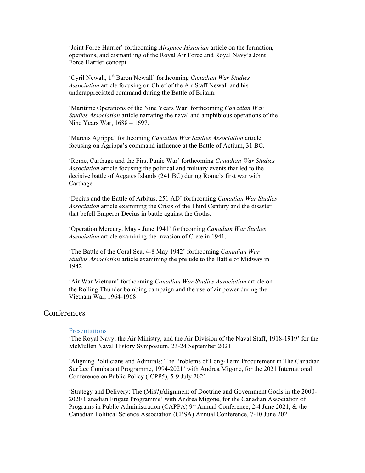'Joint Force Harrier' forthcoming *Airspace Historian* article on the formation, operations, and dismantling of the Royal Air Force and Royal Navy's Joint Force Harrier concept.

'Cyril Newall, 1st Baron Newall' forthcoming *Canadian War Studies Association* article focusing on Chief of the Air Staff Newall and his underappreciated command during the Battle of Britain.

'Maritime Operations of the Nine Years War' forthcoming *Canadian War Studies Association* article narrating the naval and amphibious operations of the Nine Years War, 1688 – 1697.

'Marcus Agrippa' forthcoming *Canadian War Studies Association* article focusing on Agrippa's command influence at the Battle of Actium, 31 BC.

'Rome, Carthage and the First Punic War' forthcoming *Canadian War Studies Association* article focusing the political and military events that led to the decisive battle of Aegates Islands (241 BC) during Rome's first war with Carthage.

'Decius and the Battle of Arbitus, 251 AD' forthcoming *Canadian War Studies Association* article examining the Crisis of the Third Century and the disaster that befell Emperor Decius in battle against the Goths.

'Operation Mercury, May - June 1941' forthcoming *Canadian War Studies Association* article examining the invasion of Crete in 1941.

'The Battle of the Coral Sea, 4-8 May 1942' forthcoming *Canadian War Studies Association* article examining the prelude to the Battle of Midway in 1942

'Air War Vietnam' forthcoming *Canadian War Studies Association* article on the Rolling Thunder bombing campaign and the use of air power during the Vietnam War, 1964-1968

# **Conferences**

#### Presentations

'The Royal Navy, the Air Ministry, and the Air Division of the Naval Staff, 1918-1919' for the McMullen Naval History Symposium, 23-24 September 2021

'Aligning Politicians and Admirals: The Problems of Long-Term Procurement in The Canadian Surface Combatant Programme, 1994-2021' with Andrea Migone, for the 2021 International Conference on Public Policy (ICPP5), 5-9 July 2021

'Strategy and Delivery: The (Mis?)Alignment of Doctrine and Government Goals in the 2000- 2020 Canadian Frigate Programme' with Andrea Migone, for the Canadian Association of Programs in Public Administration (CAPPA)  $9<sup>th</sup>$  Annual Conference, 2-4 June 2021, & the Canadian Political Science Association (CPSA) Annual Conference, 7-10 June 2021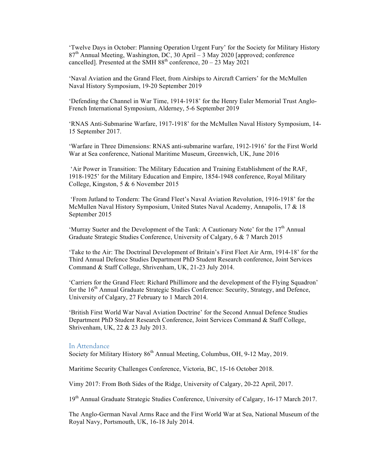'Twelve Days in October: Planning Operation Urgent Fury' for the Society for Military History  $87<sup>th</sup>$  Annual Meeting, Washington, DC, 30 April – 3 May 2020 [approved; conference cancelled]. Presented at the SMH  $88<sup>th</sup>$  conference,  $20 - 23$  May 2021

'Naval Aviation and the Grand Fleet, from Airships to Aircraft Carriers' for the McMullen Naval History Symposium, 19-20 September 2019

'Defending the Channel in War Time, 1914-1918' for the Henry Euler Memorial Trust Anglo-French International Symposium, Alderney, 5-6 September 2019

'RNAS Anti-Submarine Warfare, 1917-1918' for the McMullen Naval History Symposium, 14- 15 September 2017.

'Warfare in Three Dimensions: RNAS anti-submarine warfare, 1912-1916' for the First World War at Sea conference, National Maritime Museum, Greenwich, UK, June 2016

'Air Power in Transition: The Military Education and Training Establishment of the RAF, 1918-1925' for the Military Education and Empire, 1854-1948 conference, Royal Military College, Kingston, 5 & 6 November 2015

'From Jutland to Tondern: The Grand Fleet's Naval Aviation Revolution, 1916-1918' for the McMullen Naval History Symposium, United States Naval Academy, Annapolis, 17 & 18 September 2015

'Murray Sueter and the Development of the Tank: A Cautionary Note' for the  $17<sup>th</sup>$  Annual Graduate Strategic Studies Conference, University of Calgary, 6 & 7 March 2015

'Take to the Air: The Doctrinal Development of Britain's First Fleet Air Arm, 1914-18' for the Third Annual Defence Studies Department PhD Student Research conference, Joint Services Command & Staff College, Shrivenham, UK, 21-23 July 2014.

'Carriers for the Grand Fleet: Richard Phillimore and the development of the Flying Squadron' for the 16<sup>th</sup> Annual Graduate Strategic Studies Conference: Security, Strategy, and Defence, University of Calgary, 27 February to 1 March 2014.

'British First World War Naval Aviation Doctrine' for the Second Annual Defence Studies Department PhD Student Research Conference, Joint Services Command & Staff College, Shrivenham, UK, 22 & 23 July 2013.

#### In Attendance

Society for Military History 86<sup>th</sup> Annual Meeting, Columbus, OH, 9-12 May, 2019.

Maritime Security Challenges Conference, Victoria, BC, 15-16 October 2018.

Vimy 2017: From Both Sides of the Ridge, University of Calgary, 20-22 April, 2017.

19<sup>th</sup> Annual Graduate Strategic Studies Conference, University of Calgary, 16-17 March 2017.

The Anglo-German Naval Arms Race and the First World War at Sea, National Museum of the Royal Navy, Portsmouth, UK, 16-18 July 2014.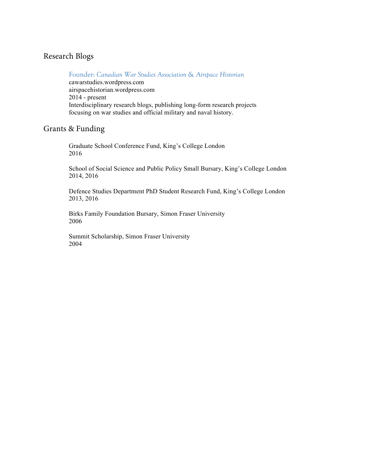# Research Blogs

Founder: *Canadian War Studies Association* & *Airspace Historian* cawarstudies.wordpress.com airspacehistorian.wordpress.com 2014 - present Interdisciplinary research blogs, publishing long-form research projects focusing on war studies and official military and naval history.

# Grants & Funding

Graduate School Conference Fund, King's College London 2016

School of Social Science and Public Policy Small Bursary, King's College London 2014, 2016

Defence Studies Department PhD Student Research Fund, King's College London 2013, 2016

Birks Family Foundation Bursary, Simon Fraser University 2006

Summit Scholarship, Simon Fraser University 2004